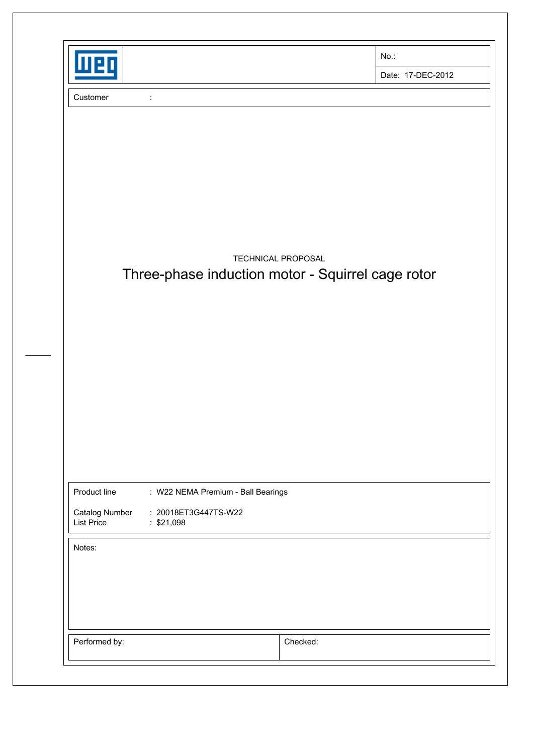| $\bullet$                           |                                                   | $No.$ :            |                   |
|-------------------------------------|---------------------------------------------------|--------------------|-------------------|
|                                     |                                                   |                    | Date: 17-DEC-2012 |
| Customer                            | $\ddot{\phantom{a}}$                              |                    |                   |
|                                     |                                                   |                    |                   |
|                                     |                                                   |                    |                   |
|                                     |                                                   |                    |                   |
|                                     |                                                   |                    |                   |
|                                     | Three-phase induction motor - Squirrel cage rotor | TECHNICAL PROPOSAL |                   |
|                                     |                                                   |                    |                   |
|                                     |                                                   |                    |                   |
|                                     |                                                   |                    |                   |
|                                     |                                                   |                    |                   |
|                                     |                                                   |                    |                   |
|                                     |                                                   |                    |                   |
|                                     |                                                   |                    |                   |
|                                     |                                                   |                    |                   |
|                                     |                                                   |                    |                   |
| Product line                        | : W22 NEMA Premium - Ball Bearings                |                    |                   |
| Catalog Number<br><b>List Price</b> | : 20018ET3G447TS-W22<br>: \$21,098                |                    |                   |
| Notes:                              |                                                   |                    |                   |
|                                     |                                                   |                    |                   |
|                                     |                                                   |                    |                   |
|                                     |                                                   |                    |                   |
|                                     |                                                   |                    |                   |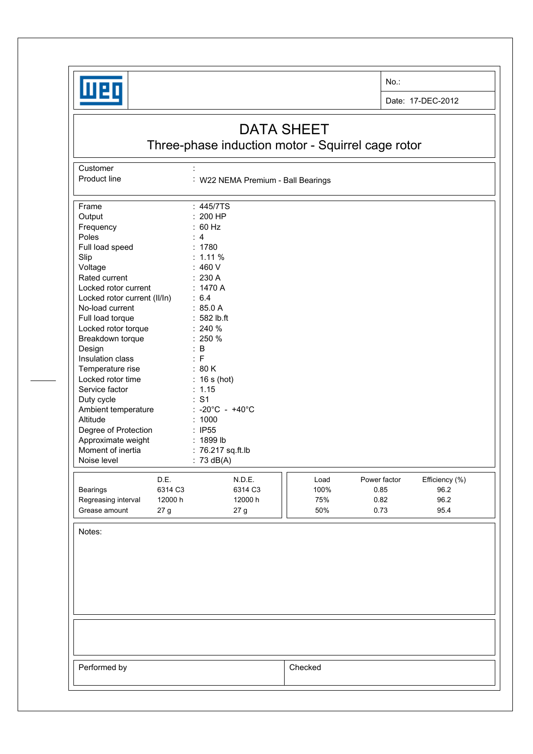

**Customer** 

No.:

Date: 17-DEC-2012

## DATA SHEET

Three-phase induction motor - Squirrel cage rotor

Product line : W22 NEMA Premium - Ball Bearings Frame : 445/7TS Output : 200 HP<br>Frequency : 60 Hz Frequency : 60<br>Poles : 4 Poles : 4<br>
Full load speed : 1780 Full load speed Slip : 1.11 % Voltage : 460 V Rated current : 230 A Locked rotor current : 1470 A Locked rotor current (II/In) : 6.4 No-load current : 85.0 A Full load torque : 582 lb.ft Locked rotor torque : 240 % Breakdown torque : 250 % Design : B Insulation class : F Temperature rise : 80 K Locked rotor time : 16 s (hot) Service factor : 1.15 Duty cycle  $\qquad \qquad : S1$ Ambient temperature : -20°C - +40°C Altitude : 1000 Degree of Protection : IP55 Approximate weight : 1899 lb Moment of inertia : 76.217 sq.ft.lb Noise level : 73 dB(A) D.E. N.D.E. **N.D.E. Load** Power factor Efficiency (%) Bearings 6314 C3 6314 C3 100% 0.85 96.2 Regreasing interval 12000 h 12000 h 12000 h 12000 h 12000 h  $1/175\%$  0.82 96.2 Grease amount  $27 g$   $27 g$   $|$   $50\%$  0.73 95.4 Notes: Performed by **Checked**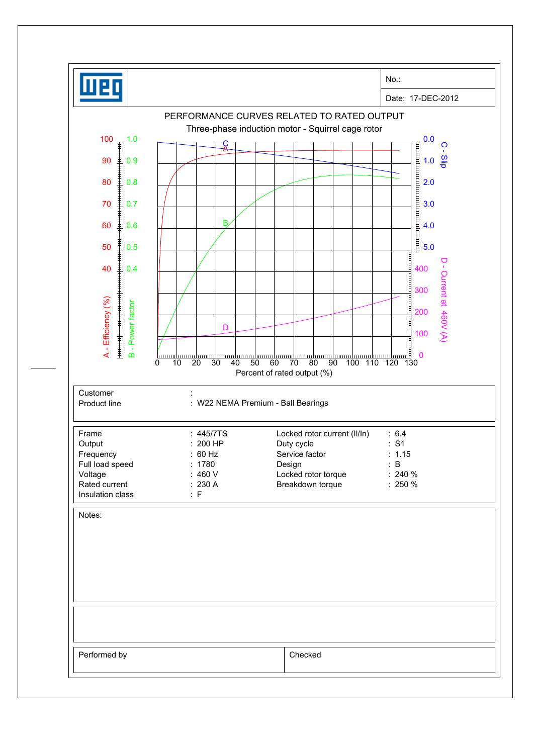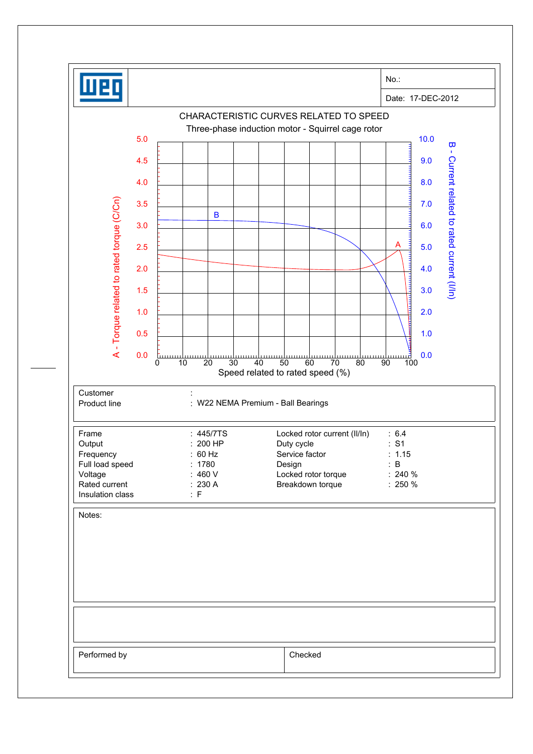|                                                  | No.:                                                                                                            |
|--------------------------------------------------|-----------------------------------------------------------------------------------------------------------------|
|                                                  | Date: 17-DEC-2012                                                                                               |
|                                                  | CHARACTERISTIC CURVES RELATED TO SPEED                                                                          |
| 5.0                                              | Three-phase induction motor - Squirrel cage rotor<br>10.0                                                       |
|                                                  | $\overline{\mathbf{u}}$<br>$\mathbf{I}$                                                                         |
| 4.5                                              | 9.0                                                                                                             |
| 4.0                                              | 8.0                                                                                                             |
| 3.5                                              | 7.0                                                                                                             |
| 3.0                                              | $\mathbf B$<br>6.0                                                                                              |
| 2.5                                              | Α<br>5.0                                                                                                        |
|                                                  |                                                                                                                 |
| 2.0                                              | Current related to rated current (I/In)<br>4.0                                                                  |
| A - Torque related to rated torque (C/Cn)<br>1.5 | 3.0<br><b>THE REAL</b>                                                                                          |
| 1.0                                              | 2.0                                                                                                             |
| 0.5                                              | 1.0                                                                                                             |
| 0.0                                              | 0.0<br><b>L</b> umu<br><u>uuur</u>                                                                              |
|                                                  | $\overline{20}$<br>30<br>60<br>0<br>10<br>40<br>50<br>70<br>80<br>90<br>100<br>Speed related to rated speed (%) |
| Customer                                         |                                                                                                                 |
| Product line                                     | : W22 NEMA Premium - Ball Bearings                                                                              |
|                                                  |                                                                                                                 |
| Frame<br>Output                                  | : 445/7TS<br>Locked rotor current (II/In)<br>: 6.4<br>: S1<br>: 200 HP<br>Duty cycle                            |
| Frequency<br>Full load speed                     | : 60 Hz<br>Service factor<br>: 1.15<br>: 1780<br>$\mathbf{B}$<br>Design                                         |
| Voltage<br>Rated current                         | :460V<br>Locked rotor torque<br>$: 240 \%$<br>: 230 A<br>Breakdown torque<br>$: 250 \%$                         |
| Insulation class                                 | : F                                                                                                             |
| Notes:                                           |                                                                                                                 |
|                                                  |                                                                                                                 |
|                                                  |                                                                                                                 |
|                                                  |                                                                                                                 |
|                                                  |                                                                                                                 |
|                                                  |                                                                                                                 |
|                                                  |                                                                                                                 |
|                                                  |                                                                                                                 |
| Performed by                                     | Checked                                                                                                         |